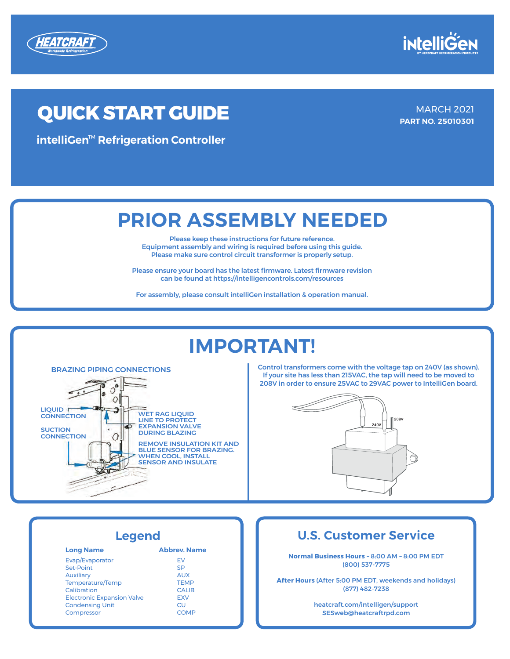



## **QUICK START GUIDE MARCH 2021**

**INTELLIGEN 00049DFS intelliGen 00049DFS intelliGen**™ **Refrigeration Controller**

**PART NO. 25010301**

### **PRIOR ASSEMBLY NEEDED**

**PART NO. 099483** \*REPLACES JANUARY 2018

**PRIOR ASSEMBLY NEEDED** Please make sure control circuit transformer is properly setup. Please keep these instructions for future reference. Equipment assembly and wiring is required before using this guide.

can be found at https://intelligencontrols.com/resources Equipment assembly and Wiring is required before using this Guide. Please ensure your board has the latest firmware. Latest firmware revision

For assembly, please consult intelliGen installation & operation manual.

## **IMPORTANT!**



This Case Intelligence Intelligence Intelligence Intelligence Intelligence Intelligence Intelligence Intelligence Intelligence Intelligence Intelligence Intelligence Intelligence Intelligence Intelligence Intelligence Inte **IMPORTANT IMPORTANT IMPORTANT IMPORTANT IMPORTANT IMPORTANT IMPORTANT IMPORTANT CONTROL (15 Shown).**<br>
Control transformers come with the voltage tap on 240V (as shown). If your site has less than 215VAC, the tap will need to be moved to



#### **Legend**

| <b>Long Name</b>                  | <b>Abbrey, Name</b> |  |
|-----------------------------------|---------------------|--|
| Evap/Evaporator                   | FV                  |  |
| Set-Point                         | <b>SP</b>           |  |
| <b>Auxiliary</b>                  | <b>AUX</b>          |  |
| Temperature/Temp                  | <b>TEMP</b>         |  |
| Calibration                       | <b>CALIB</b>        |  |
| <b>Electronic Expansion Valve</b> | <b>EXV</b>          |  |
| <b>Condensing Unit</b>            | CU                  |  |
| Compressor                        | <b>COMP</b>         |  |
|                                   |                     |  |

#### **Canada Customer Service U.S. Customer Service**

**Normal Business** Hours – 8:00 AM – 8:00 PM EDT (800) 537-7775 **Normal Business Hours** - 8:00 AM - 8:00 PM EDT

**After Hours** (after 5:00 PM EDT, weekends and holidays) (877) 482-7238 **After Hours** (After 5:00 PM EDT, weekends and holidays)

> SESweb@heatcraftrpd.com support@heatcraft.com heatcraft.com/intelligen/support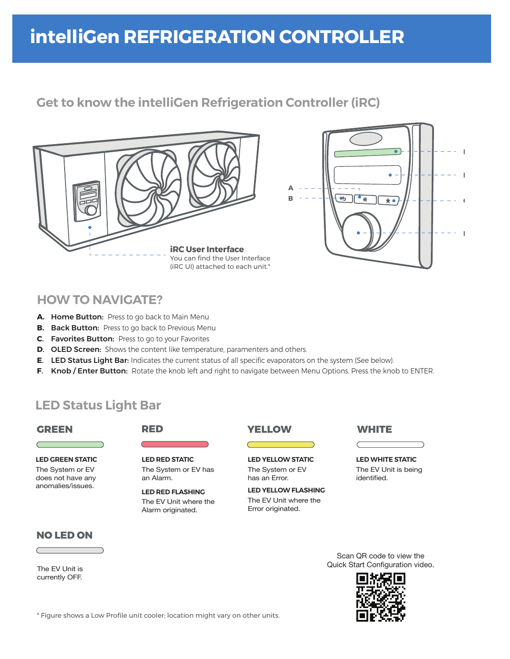#### i<mark>ntelliGen REFRIG</mark>E **External Extending**<br>IntelliGen RFFRIGF **intelliGen REFRIGERATION CONTROLLER**

#### **Get to know the intelliGen Refrigeration Controller (iRC) Get to know the EXV Controller**





#### **HOW TO NAVIGATE? HOW TO NAVIGATE? HOW TO NAVIGATE?**

- **A. Home Button:** Press to go back to Main Menu
- **B. Back Button:** Press to go back to Previous Menu.
- **B. Back Button:** Press to go to your Fountition **C. Favorites Button:** press to go to your Favorites **C**. Favorites Button: Press to go to your Favorites **C. Favorites Button:** press to go to your Favorites **C. Favorites Button:** Press to go to your Favorites
- **D. OLED Screen:** Shows the content like temperature, paramenters and others.
- E. LED Status Light Bar: Indicates the current status of all specific evaporators on the system (See below).
- F. Knob / Enter Button: Rotate the knob left and right to navigate between Menu Options. Press the knob to ENTER.

#### **LED Status Light LED Status Light Bar LED Status Light**

#### **GREEN GREEN**

**LED GREEN STATIC LED GREEN STATIC** LED GREEN STATIC

The System or EV does not have any anomalies/issues.

#### **RED RED**

**LED RED STATIC** The System or EV has an Alarm. an Alarm. **LED RED FLASHING**

**LED RED FLASHING** The EV Unit where the The Ev Onit when<br>Alarm originated.



**LED YELLOW STATIC** The System or EXV presents **LED YELLOW STATIC** The System or EV has an Error.

**LED YELLOW FLASHING** The EV Unit where the Error originated.

#### **WHITE** ww.com

LED WHITE STATIC LED WHITE STATIC

The EV Unit is being identified. identified.

#### **NO LESS NO LED ON**

 $C$  unit is  $C$   $\overline{C}$ The EV Unit is currently OFF.

Scan QR code to view the Quick Start Configuration video.



\* Figure shows a Low Profile unit cooler; location might vary on other units.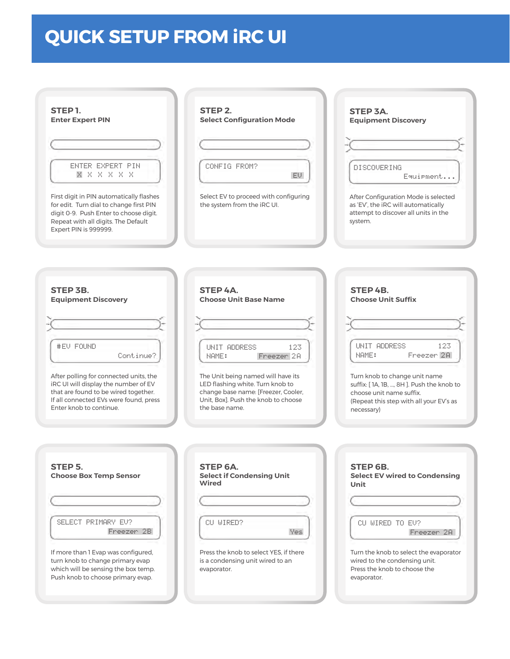# **QUICK SETUP FROM iRC UI**

| STEP <sub>1</sub>                                                                                                                                                                             | STEP <sub>2</sub>                                                                         | STEP 3A.                                                                                                                       |
|-----------------------------------------------------------------------------------------------------------------------------------------------------------------------------------------------|-------------------------------------------------------------------------------------------|--------------------------------------------------------------------------------------------------------------------------------|
| <b>Enter Expert PIN</b>                                                                                                                                                                       | <b>Select Configuration Mode</b>                                                          | <b>Equipment Discovery</b>                                                                                                     |
| <b>ENTER EXPERT PIN</b>                                                                                                                                                                       | CONFIG FROM?                                                                              | DISCOVERING                                                                                                                    |
| X X X X X X                                                                                                                                                                                   | EV.                                                                                       | Equipment                                                                                                                      |
| First digit in PIN automatically flashes<br>for edit. Turn dial to change first PIN<br>digit 0-9. Push Enter to choose digit.<br>Repeat with all digits. The Default<br>Expert PIN is 999999. | Select EV to proceed with configuring<br>the system from the iRC UI.                      | After Configuration Mode is selected<br>as 'EV', the iRC will automatically<br>attempt to discover all units in the<br>system. |
| STEP 3B.                                                                                                                                                                                      | STEP 4A.                                                                                  | STEP 4B.                                                                                                                       |
| <b>Equipment Discovery</b>                                                                                                                                                                    | <b>Choose Unit Base Name</b>                                                              | <b>Choose Unit Suffix</b>                                                                                                      |
| #EV FOUND<br>Continue?                                                                                                                                                                        | UNIT ADDRESS<br>123<br>NAME:<br>Freezer 2A                                                | UNIT ADDRESS<br>123.<br>Freezer <sub>2A</sub><br>NAME:                                                                         |
| After polling for connected units, the                                                                                                                                                        | The Unit being named will have its                                                        | Turn knob to change unit name                                                                                                  |
| iRC UI will display the number of EV                                                                                                                                                          | LED flashing white. Turn knob to                                                          | suffix: [1A, 1B, , 8H]. Push the knob to                                                                                       |
| that are found to be wired together.                                                                                                                                                          | change base name: [Freezer, Cooler,                                                       | choose unit name suffix.                                                                                                       |
| If all connected EVs were found, press                                                                                                                                                        | Unit. Boxl. Push the knob to choose                                                       | (Repeat this step with all your EV's as                                                                                        |
| Enter knob to continue.                                                                                                                                                                       | the base name.                                                                            | necessary)                                                                                                                     |
|                                                                                                                                                                                               |                                                                                           |                                                                                                                                |
| STEP 5.<br><b>Choose Box Temp Sensor</b>                                                                                                                                                      | STEP 6A.<br><b>Select if Condensing Unit</b><br>Wired                                     | STEP 6B.<br><b>Select EV wired to Condensing</b><br>Unit                                                                       |
| SELECT PRIMARY EU?                                                                                                                                                                            | CU WIRED?                                                                                 | CU WIRED TO EV?                                                                                                                |
| Freezer 2B                                                                                                                                                                                    | Yes                                                                                       | Freezer <sub>2</sub> A                                                                                                         |
| If more than 1 Evap was configured,<br>turn knob to change primary evap<br>which will be sensing the box temp.<br>Push knob to choose primary evap.                                           | Press the knob to select YES, if there<br>is a condensing unit wired to an<br>evaporator. | Turn the knob to select the evaporator<br>wired to the condensing unit.<br>Press the knob to choose the<br>evaporator.         |